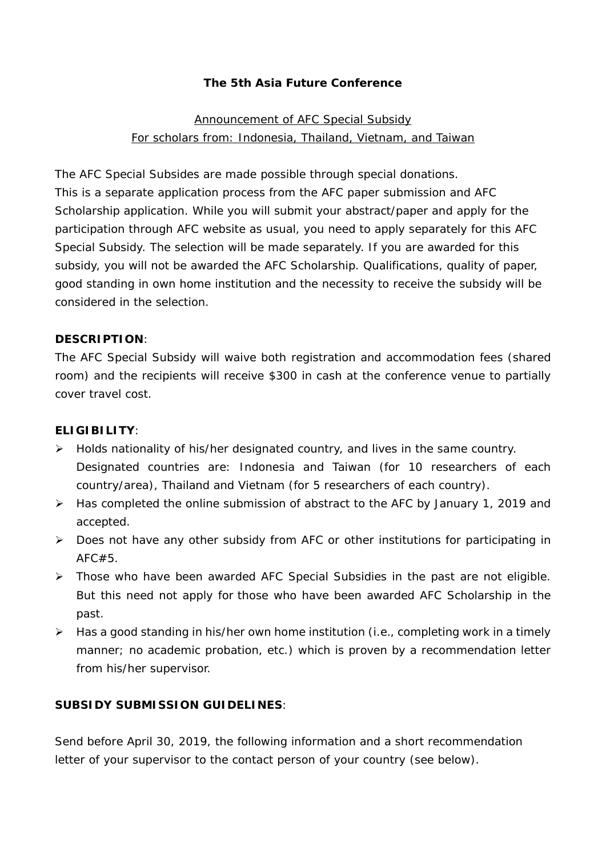## **The 5th Asia Future Conference**

# Announcement of AFC Special Subsidy For scholars from: Indonesia, Thailand, Vietnam, and Taiwan

The AFC Special Subsides are made possible through special donations. This is a separate application process from the AFC paper submission and AFC Scholarship application. While you will submit your abstract/paper and apply for the participation through AFC website as usual, you need to apply separately for this AFC Special Subsidy. The selection will be made separately. If you are awarded for this subsidy, you will not be awarded the AFC Scholarship. Qualifications, quality of paper, good standing in own home institution and the necessity to receive the subsidy will be considered in the selection.

### **DESCRIPTION**:

The AFC Special Subsidy will waive both registration and accommodation fees (shared room) and the recipients will receive \$300 in cash at the conference venue to partially cover travel cost.

#### **ELIGIBILITY**:

- $\triangleright$  Holds nationality of his/her designated country, and lives in the same country. Designated countries are: Indonesia and Taiwan (for 10 researchers of each country/area), Thailand and Vietnam (for 5 researchers of each country).
- Has completed the online submission of abstract to the AFC by January 1, 2019 and accepted.
- Does not have any other subsidy from AFC or other institutions for participating in AFC#5.
- > Those who have been awarded AFC Special Subsidies in the past are not eligible. But this need not apply for those who have been awarded AFC Scholarship in the past.
- $\triangleright$  Has a good standing in his/her own home institution (i.e., completing work in a timely manner; no academic probation, etc.) which is proven by a recommendation letter from his/her supervisor.

#### **SUBSIDY SUBMISSION GUIDELINES**:

Send before April 30, 2019, the following information and a short recommendation letter of your supervisor to the contact person of your country (see below).